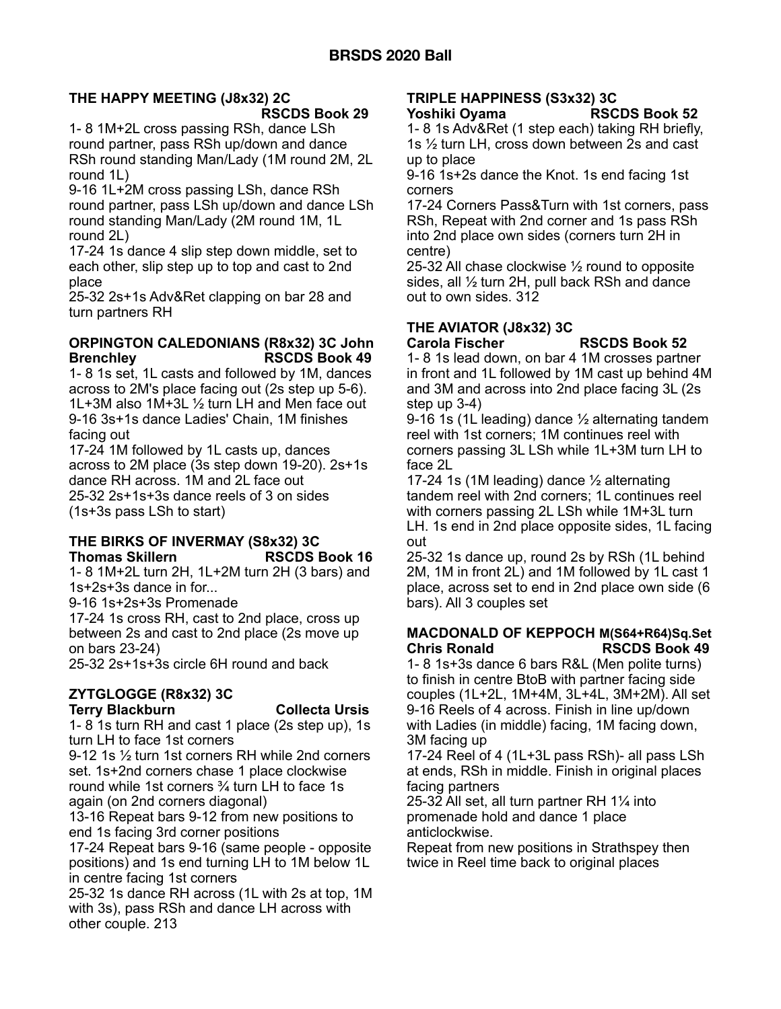#### **THE HAPPY MEETING (J8x32) 2C RSCDS Book 29**

1- 8 1M+2L cross passing RSh, dance LSh round partner, pass RSh up/down and dance RSh round standing Man/Lady (1M round 2M, 2L round 1L)

9-16 1L+2M cross passing LSh, dance RSh round partner, pass LSh up/down and dance LSh round standing Man/Lady (2M round 1M, 1L round 2L)

17-24 1s dance 4 slip step down middle, set to each other, slip step up to top and cast to 2nd place

25-32 2s+1s Adv&Ret clapping on bar 28 and turn partners RH

# **ORPINGTON CALEDONIANS (R8x32) 3C John Brenchley RSCDS Book 49**

1- 8 1s set, 1L casts and followed by 1M, dances across to 2M's place facing out (2s step up 5-6). 1L+3M also 1M+3L ½ turn LH and Men face out 9-16 3s+1s dance Ladies' Chain, 1M finishes facing out

17-24 1M followed by 1L casts up, dances across to 2M place (3s step down 19-20). 2s+1s dance RH across. 1M and 2L face out 25-32 2s+1s+3s dance reels of 3 on sides (1s+3s pass LSh to start)

# **THE BIRKS OF INVERMAY (S8x32) 3C Thomas Skillern RSCDS Book 16**

1- 8 1M+2L turn 2H, 1L+2M turn 2H (3 bars) and 1s+2s+3s dance in for...

9-16 1s+2s+3s Promenade

17-24 1s cross RH, cast to 2nd place, cross up between 2s and cast to 2nd place (2s move up on bars 23-24)

25-32 2s+1s+3s circle 6H round and back

# **ZYTGLOGGE (R8x32) 3C**

#### **Terry Blackburn Collecta Ursis**

1- 8 1s turn RH and cast 1 place (2s step up), 1s turn LH to face 1st corners

9-12 1s ½ turn 1st corners RH while 2nd corners set. 1s+2nd corners chase 1 place clockwise round while 1st corners ¾ turn LH to face 1s again (on 2nd corners diagonal)

13-16 Repeat bars 9-12 from new positions to end 1s facing 3rd corner positions

17-24 Repeat bars 9-16 (same people - opposite positions) and 1s end turning LH to 1M below 1L in centre facing 1st corners

25-32 1s dance RH across (1L with 2s at top, 1M with 3s), pass RSh and dance LH across with other couple. 213

# **TRIPLE HAPPINESS (S3x32) 3C**

#### **Yoshiki Oyama RSCDS Book 52**

1- 8 1s Adv&Ret (1 step each) taking RH briefly, 1s ½ turn LH, cross down between 2s and cast up to place

9-16 1s+2s dance the Knot. 1s end facing 1st corners

17-24 Corners Pass&Turn with 1st corners, pass RSh, Repeat with 2nd corner and 1s pass RSh into 2nd place own sides (corners turn 2H in centre)

25-32 All chase clockwise ½ round to opposite sides, all ½ turn 2H, pull back RSh and dance out to own sides. 312

# **THE AVIATOR (J8x32) 3C**

**Carola Fischer RSCDS Book 52** 

1- 8 1s lead down, on bar 4 1M crosses partner in front and 1L followed by 1M cast up behind 4M and 3M and across into 2nd place facing 3L (2s step up 3-4)

9-16 1s (1L leading) dance ½ alternating tandem reel with 1st corners; 1M continues reel with corners passing 3L LSh while 1L+3M turn LH to face 2L

17-24 1s (1M leading) dance  $\frac{1}{2}$  alternating tandem reel with 2nd corners; 1L continues reel with corners passing 2L LSh while 1M+3L turn LH. 1s end in 2nd place opposite sides, 1L facing out

25-32 1s dance up, round 2s by RSh (1L behind 2M, 1M in front 2L) and 1M followed by 1L cast 1 place, across set to end in 2nd place own side (6 bars). All 3 couples set

#### **MACDONALD OF KEPPOCH M(S64+R64)Sq.Set Chris Ronald RSCDS Book 49**

1- 8 1s+3s dance 6 bars R&L (Men polite turns) to finish in centre BtoB with partner facing side couples (1L+2L, 1M+4M, 3L+4L, 3M+2M). All set 9-16 Reels of 4 across. Finish in line up/down with Ladies (in middle) facing, 1M facing down, 3M facing up

17-24 Reel of 4 (1L+3L pass RSh)- all pass LSh at ends, RSh in middle. Finish in original places facing partners

25-32 All set, all turn partner RH 1¼ into promenade hold and dance 1 place anticlockwise.

Repeat from new positions in Strathspey then twice in Reel time back to original places